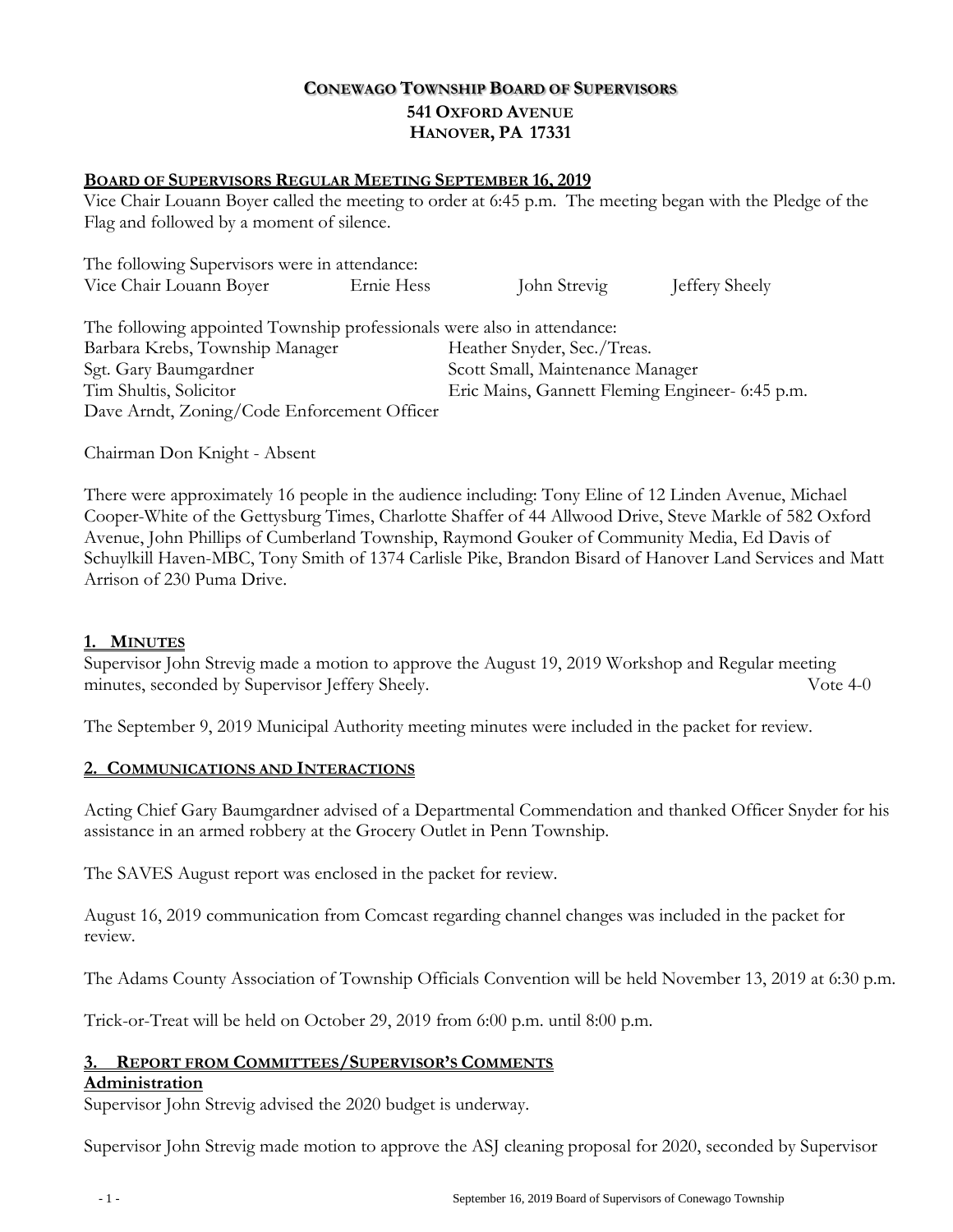# **CONEWAGO TOWNSHIP BOARD OF SUPERVISORS 541 OXFORD AVENUE HANOVER, PA 17331**

### **BOARD OF SUPERVISORS REGULAR MEETING SEPTEMBER 16, 2019**

Vice Chair Louann Boyer called the meeting to order at 6:45 p.m. The meeting began with the Pledge of the Flag and followed by a moment of silence.

| The following Supervisors were in attendance:                           |            |                                                 |                |
|-------------------------------------------------------------------------|------------|-------------------------------------------------|----------------|
| Vice Chair Louann Boyer                                                 | Ernie Hess | John Strevig                                    | Jeffery Sheely |
| The following appointed Township professionals were also in attendance: |            |                                                 |                |
| Barbara Krebs, Township Manager                                         |            | Heather Snyder, Sec./Treas.                     |                |
| Sgt. Gary Baumgardner                                                   |            | Scott Small, Maintenance Manager                |                |
| Tim Shultis, Solicitor                                                  |            | Eric Mains, Gannett Fleming Engineer- 6:45 p.m. |                |
| Dave Arndt, Zoning/Code Enforcement Officer                             |            |                                                 |                |

Chairman Don Knight - Absent

There were approximately 16 people in the audience including: Tony Eline of 12 Linden Avenue, Michael Cooper-White of the Gettysburg Times, Charlotte Shaffer of 44 Allwood Drive, Steve Markle of 582 Oxford Avenue, John Phillips of Cumberland Township, Raymond Gouker of Community Media, Ed Davis of Schuylkill Haven-MBC, Tony Smith of 1374 Carlisle Pike, Brandon Bisard of Hanover Land Services and Matt Arrison of 230 Puma Drive.

### **1. MINUTES**

Supervisor John Strevig made a motion to approve the August 19, 2019 Workshop and Regular meeting minutes, seconded by Supervisor Jeffery Sheely. Vote 4-0

The September 9, 2019 Municipal Authority meeting minutes were included in the packet for review.

#### **2. COMMUNICATIONS AND INTERACTIONS**

Acting Chief Gary Baumgardner advised of a Departmental Commendation and thanked Officer Snyder for his assistance in an armed robbery at the Grocery Outlet in Penn Township.

The SAVES August report was enclosed in the packet for review.

August 16, 2019 communication from Comcast regarding channel changes was included in the packet for review.

The Adams County Association of Township Officials Convention will be held November 13, 2019 at 6:30 p.m.

Trick-or-Treat will be held on October 29, 2019 from 6:00 p.m. until 8:00 p.m.

## **3. REPORT FROM COMMITTEES/SUPERVISOR'S COMMENTS**

#### **Administration**

Supervisor John Strevig advised the 2020 budget is underway.

Supervisor John Strevig made motion to approve the ASJ cleaning proposal for 2020, seconded by Supervisor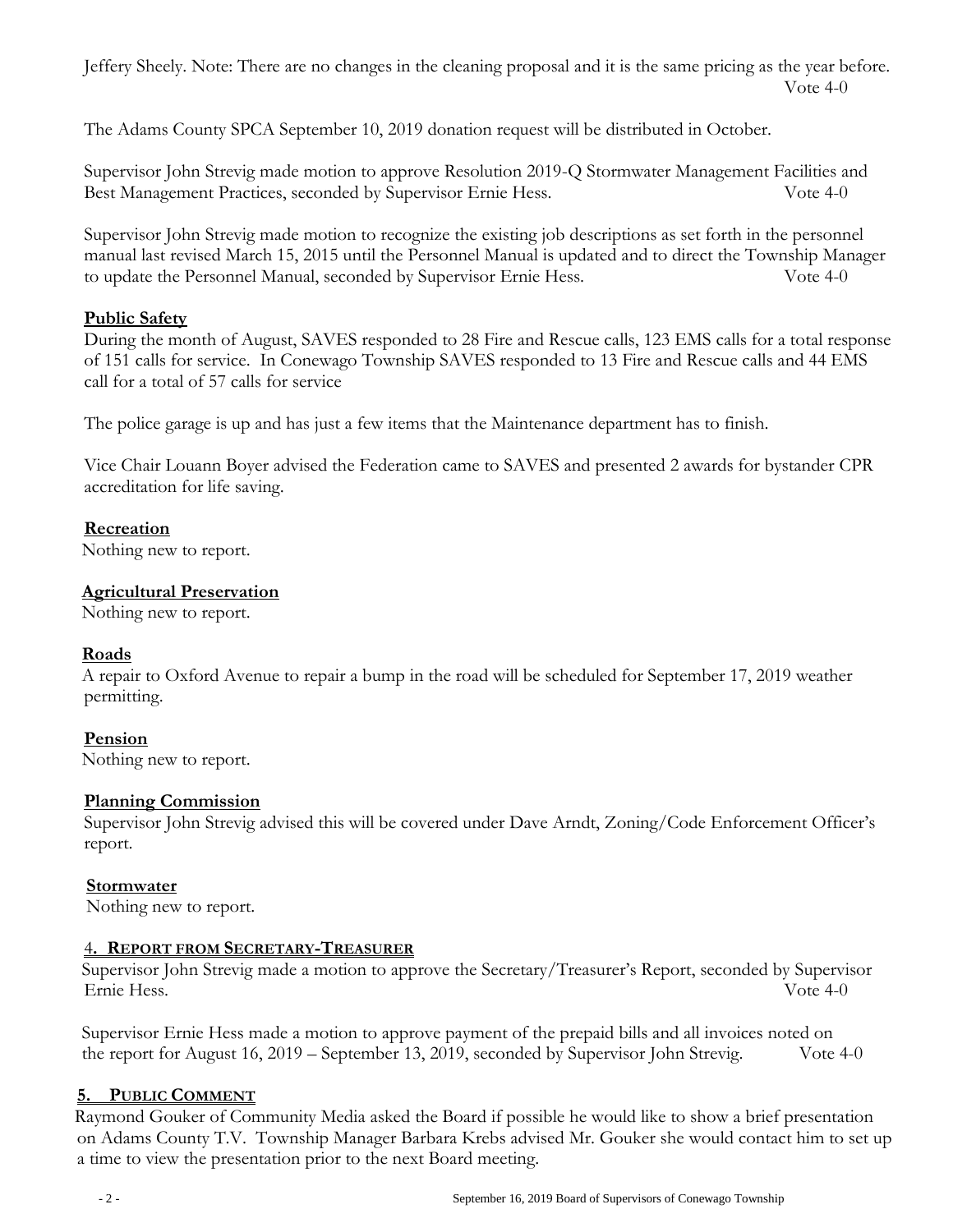Jeffery Sheely. Note: There are no changes in the cleaning proposal and it is the same pricing as the year before. Vote 4-0

The Adams County SPCA September 10, 2019 donation request will be distributed in October.

Supervisor John Strevig made motion to approve Resolution 2019-Q Stormwater Management Facilities and Best Management Practices, seconded by Supervisor Ernie Hess. Vote 4-0

Supervisor John Strevig made motion to recognize the existing job descriptions as set forth in the personnel manual last revised March 15, 2015 until the Personnel Manual is updated and to direct the Township Manager to update the Personnel Manual, seconded by Supervisor Ernie Hess. Vote 4-0

## **Public Safety**

During the month of August, SAVES responded to 28 Fire and Rescue calls, 123 EMS calls for a total response of 151 calls for service. In Conewago Township SAVES responded to 13 Fire and Rescue calls and 44 EMS call for a total of 57 calls for service

The police garage is up and has just a few items that the Maintenance department has to finish.

Vice Chair Louann Boyer advised the Federation came to SAVES and presented 2 awards for bystander CPR accreditation for life saving.

### **Recreation**

Nothing new to report.

### **Agricultural Preservation**

Nothing new to report.

### **Roads**

A repair to Oxford Avenue to repair a bump in the road will be scheduled for September 17, 2019 weather permitting.

## **Pension**

Nothing new to report.

### **Planning Commission**

Supervisor John Strevig advised this will be covered under Dave Arndt, Zoning/Code Enforcement Officer's report.

## **Stormwater**

Nothing new to report.

## 4**. REPORT FROM SECRETARY-TREASURER**

Supervisor John Strevig made a motion to approve the Secretary/Treasurer's Report, seconded by Supervisor Ernie Hess. Vote 4-0

Supervisor Ernie Hess made a motion to approve payment of the prepaid bills and all invoices noted on the report for August 16, 2019 – September 13, 2019, seconded by Supervisor John Strevig. Vote 4-0

## **5. PUBLIC COMMENT**

Raymond Gouker of Community Media asked the Board if possible he would like to show a brief presentation on Adams County T.V. Township Manager Barbara Krebs advised Mr. Gouker she would contact him to set up a time to view the presentation prior to the next Board meeting.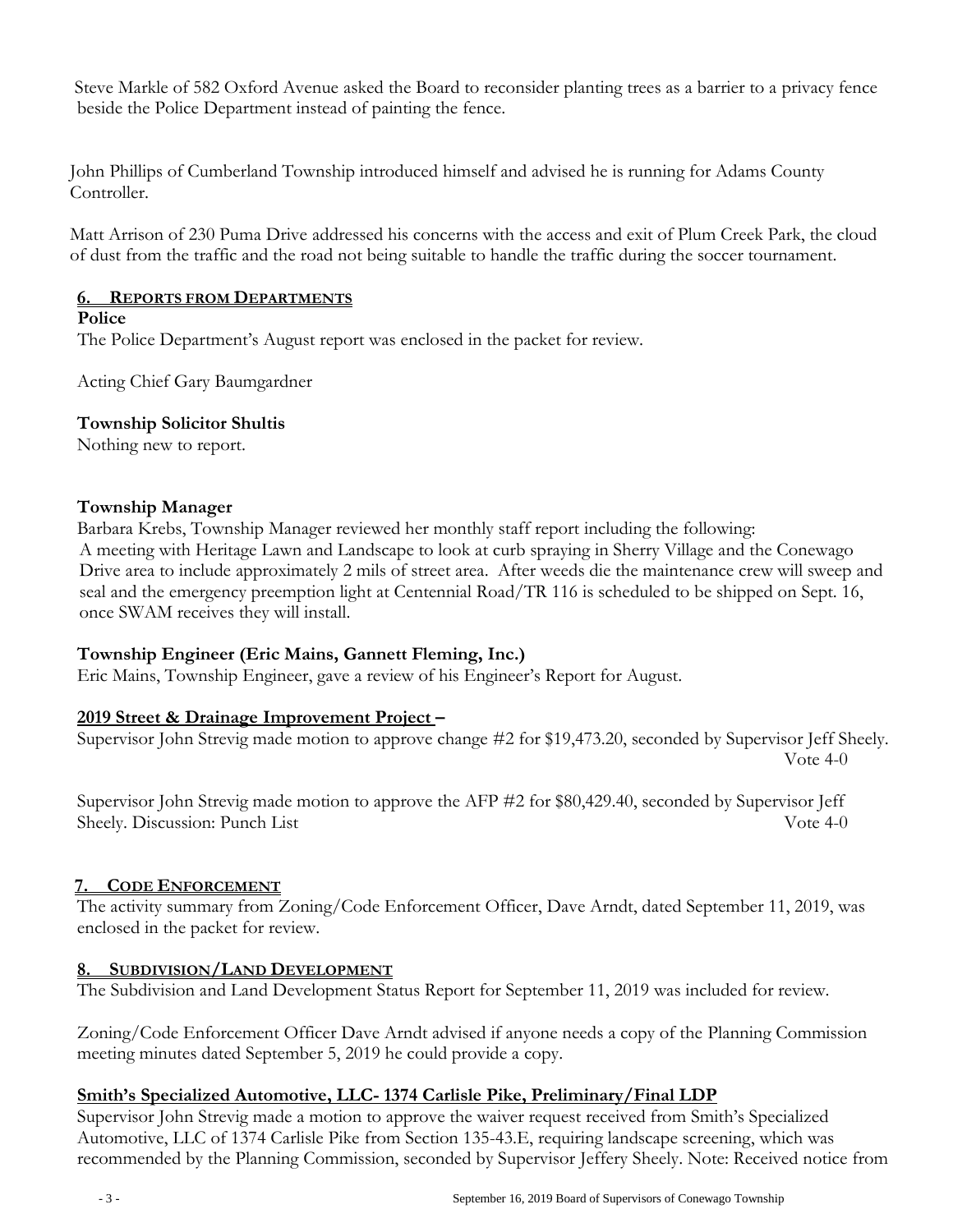Steve Markle of 582 Oxford Avenue asked the Board to reconsider planting trees as a barrier to a privacy fence beside the Police Department instead of painting the fence.

John Phillips of Cumberland Township introduced himself and advised he is running for Adams County Controller.

Matt Arrison of 230 Puma Drive addressed his concerns with the access and exit of Plum Creek Park, the cloud of dust from the traffic and the road not being suitable to handle the traffic during the soccer tournament.

### **6. REPORTS FROM DEPARTMENTS**

#### **Police**

The Police Department's August report was enclosed in the packet for review.

Acting Chief Gary Baumgardner

### **Township Solicitor Shultis**

Nothing new to report.

### **Township Manager**

Barbara Krebs, Township Manager reviewed her monthly staff report including the following: A meeting with Heritage Lawn and Landscape to look at curb spraying in Sherry Village and the Conewago Drive area to include approximately 2 mils of street area. After weeds die the maintenance crew will sweep and seal and the emergency preemption light at Centennial Road/TR 116 is scheduled to be shipped on Sept. 16, once SWAM receives they will install.

## **Township Engineer (Eric Mains, Gannett Fleming, Inc.)**

Eric Mains, Township Engineer, gave a review of his Engineer's Report for August.

## **2019 Street & Drainage Improvement Project –**

Supervisor John Strevig made motion to approve change #2 for \$19,473.20, seconded by Supervisor Jeff Sheely. Vote 4-0

Supervisor John Strevig made motion to approve the AFP #2 for \$80,429.40, seconded by Supervisor Jeff Sheely. Discussion: Punch List Vote 4-0

## **7. CODE ENFORCEMENT**

The activity summary from Zoning/Code Enforcement Officer, Dave Arndt, dated September 11, 2019, was enclosed in the packet for review.

## **8. SUBDIVISION/LAND DEVELOPMENT**

The Subdivision and Land Development Status Report for September 11, 2019 was included for review.

Zoning/Code Enforcement Officer Dave Arndt advised if anyone needs a copy of the Planning Commission meeting minutes dated September 5, 2019 he could provide a copy.

## **Smith's Specialized Automotive, LLC- 1374 Carlisle Pike, Preliminary/Final LDP**

Supervisor John Strevig made a motion to approve the waiver request received from Smith's Specialized Automotive, LLC of 1374 Carlisle Pike from Section 135-43.E, requiring landscape screening, which was recommended by the Planning Commission, seconded by Supervisor Jeffery Sheely. Note: Received notice from